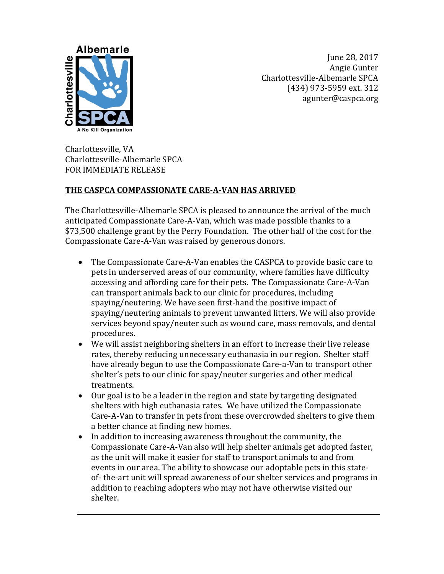

June 28, 2017 Angie Gunter Charlottesville-Albemarle SPCA (434) 973-5959 ext. 312 agunter@caspca.org

Charlottesville, VA Charlottesville-Albemarle SPCA FOR IMMEDIATE RELEASE

## **THE CASPCA COMPASSIONATE CARE-A-VAN HAS ARRIVED**

The Charlottesville-Albemarle SPCA is pleased to announce the arrival of the much anticipated Compassionate Care-A-Van, which was made possible thanks to a \$73,500 challenge grant by the Perry Foundation. The other half of the cost for the Compassionate Care-A-Van was raised by generous donors.

- The Compassionate Care-A-Van enables the CASPCA to provide basic care to pets in underserved areas of our community, where families have difficulty accessing and affording care for their pets. The Compassionate Care-A-Van can transport animals back to our clinic for procedures, including spaying/neutering. We have seen first-hand the positive impact of spaying/neutering animals to prevent unwanted litters. We will also provide services beyond spay/neuter such as wound care, mass removals, and dental procedures.
- We will assist neighboring shelters in an effort to increase their live release rates, thereby reducing unnecessary euthanasia in our region. Shelter staff have already begun to use the Compassionate Care-a-Van to transport other shelter's pets to our clinic for spay/neuter surgeries and other medical treatments.
- Our goal is to be a leader in the region and state by targeting designated shelters with high euthanasia rates. We have utilized the Compassionate Care-A-Van to transfer in pets from these overcrowded shelters to give them a better chance at finding new homes.
- In addition to increasing awareness throughout the community, the Compassionate Care-A-Van also will help shelter animals get adopted faster, as the unit will make it easier for staff to transport animals to and from events in our area. The ability to showcase our adoptable pets in this stateof- the-art unit will spread awareness of our shelter services and programs in addition to reaching adopters who may not have otherwise visited our shelter.